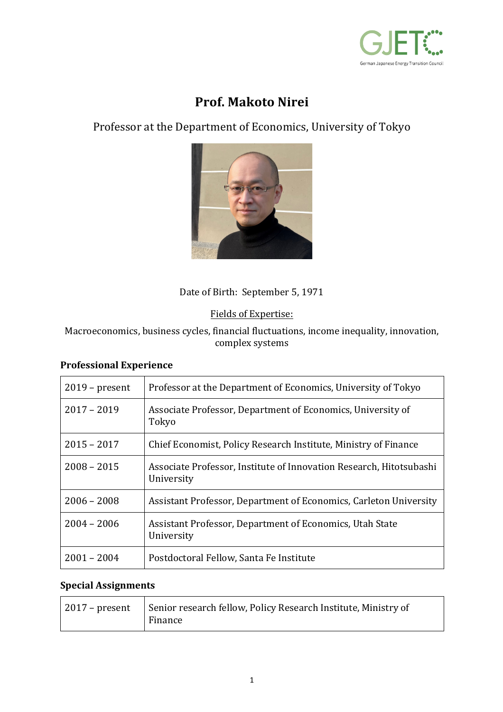

# **Prof. Makoto Nirei**

Professor at the Department of Economics, University of Tokyo



# Date of Birth: September 5, 1971

Fields of Expertise:

Macroeconomics, business cycles, financial fluctuations, income inequality, innovation, complex systems

#### **Professional Experience**

| $2019$ – present | Professor at the Department of Economics, University of Tokyo                     |
|------------------|-----------------------------------------------------------------------------------|
|                  |                                                                                   |
| $2017 - 2019$    | Associate Professor, Department of Economics, University of<br>Tokyo              |
| $2015 - 2017$    | Chief Economist, Policy Research Institute, Ministry of Finance                   |
| $2008 - 2015$    | Associate Professor, Institute of Innovation Research, Hitotsubashi<br>University |
| $2006 - 2008$    | Assistant Professor, Department of Economics, Carleton University                 |
| $2004 - 2006$    | Assistant Professor, Department of Economics, Utah State<br>University            |
| $2001 - 2004$    | Postdoctoral Fellow, Santa Fe Institute                                           |

## **Special Assignments**

| 2017 – present   Senior research fellow, Policy Research Institute, Ministry of<br>Finance |  |
|--------------------------------------------------------------------------------------------|--|
|--------------------------------------------------------------------------------------------|--|